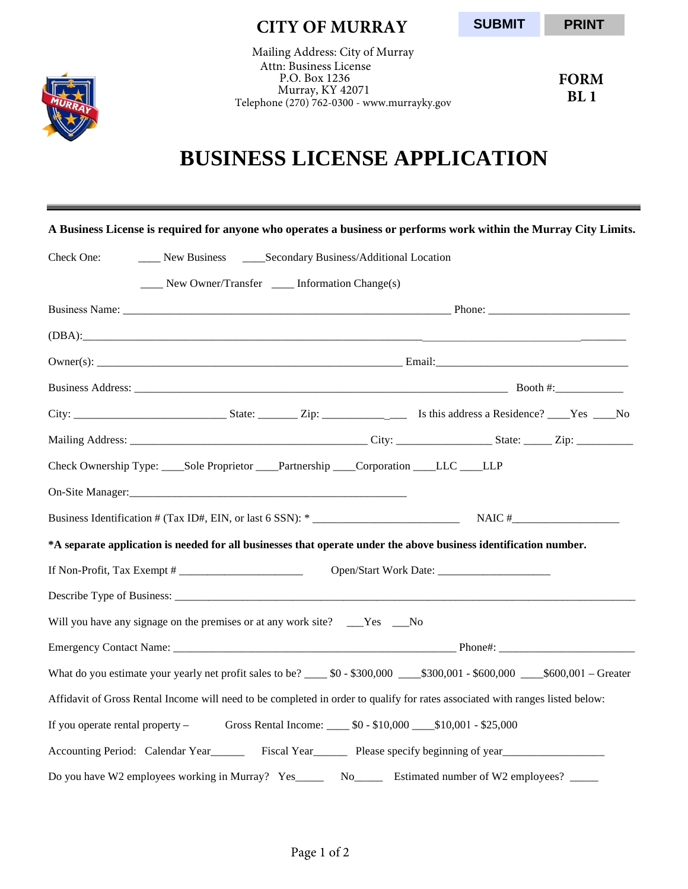

 **CITY OF MURRAY**

**SUBMIT**

 **PRINT**

Mailing Address: City of Murray Attn: Business License P.O. Box 1236 Murray, KY 42071 Telephone (270) 762-0300 - www.murrayky.gov

**FORM BL 1**

## **BUSINESS LICENSE APPLICATION**

|            |                                                                                                                |  | A Business License is required for anyone who operates a business or performs work within the Murray City Limits.                |  |
|------------|----------------------------------------------------------------------------------------------------------------|--|----------------------------------------------------------------------------------------------------------------------------------|--|
| Check One: | ____ New Business _____ Secondary Business/Additional Location                                                 |  |                                                                                                                                  |  |
|            | ____ New Owner/Transfer ____ Information Change(s)                                                             |  |                                                                                                                                  |  |
|            |                                                                                                                |  |                                                                                                                                  |  |
|            |                                                                                                                |  |                                                                                                                                  |  |
|            |                                                                                                                |  |                                                                                                                                  |  |
|            |                                                                                                                |  |                                                                                                                                  |  |
|            |                                                                                                                |  |                                                                                                                                  |  |
|            |                                                                                                                |  |                                                                                                                                  |  |
|            | Check Ownership Type: Sole Proprietor Partnership Corporation LLC LLP                                          |  |                                                                                                                                  |  |
|            | On-Site Manager: 2008 and 2008 and 2008 and 2008 and 2008 and 2008 and 2008 and 2008 and 2008 and 2008 and 200 |  |                                                                                                                                  |  |
|            |                                                                                                                |  |                                                                                                                                  |  |
|            |                                                                                                                |  | *A separate application is needed for all businesses that operate under the above business identification number.                |  |
|            |                                                                                                                |  |                                                                                                                                  |  |
|            |                                                                                                                |  |                                                                                                                                  |  |
|            | Will you have any signage on the premises or at any work site? ___Yes ___No                                    |  |                                                                                                                                  |  |
|            |                                                                                                                |  |                                                                                                                                  |  |
|            |                                                                                                                |  | What do you estimate your yearly net profit sales to be? _____ \$0 - \$300,000 ____\$300,001 - \$600,000 ____\$600,001 - Greater |  |
|            |                                                                                                                |  | Affidavit of Gross Rental Income will need to be completed in order to qualify for rates associated with ranges listed below:    |  |
|            |                                                                                                                |  | If you operate rental property - Gross Rental Income: _____ \$0 - \$10,000 ____ \$10,001 - \$25,000                              |  |
|            |                                                                                                                |  | Accounting Period: Calendar Year Fiscal Year Fiscal Year Please specify beginning of year Section                                |  |
|            |                                                                                                                |  | Do you have W2 employees working in Murray? Yes_______ No________ Estimated number of W2 employees?                              |  |